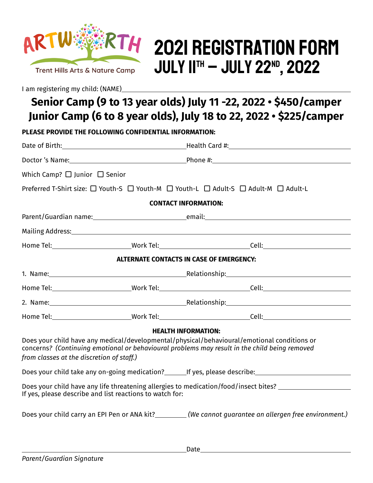

# 2021 Registration Form **JULY IITH – JULY 22ND, 2022**

I am registering my child: (NAME)\_\_\_\_\_\_\_

# **Senior Camp (9 to 13 year olds) July 11 -22, 2022 • \$450/camper Junior Camp (6 to 8 year olds), July 18 to 22, 2022 • \$225/camper**

**PLEASE PROVIDE THE FOLLOWING CONFIDENTIAL INFORMATION:**

|                                                          |                                                                                                                                                                                                                                | Date of Birth: <u>New York: New York: New York: New York: New York: New York: New York: New York: New York: New York: New York: New York: New York: New York: New York: New York: New York: New York: New York: New York: New Yo</u> |  |  |
|----------------------------------------------------------|--------------------------------------------------------------------------------------------------------------------------------------------------------------------------------------------------------------------------------|--------------------------------------------------------------------------------------------------------------------------------------------------------------------------------------------------------------------------------------|--|--|
|                                                          |                                                                                                                                                                                                                                |                                                                                                                                                                                                                                      |  |  |
| Which Camp? $\Box$ Junior $\Box$ Senior                  |                                                                                                                                                                                                                                |                                                                                                                                                                                                                                      |  |  |
|                                                          |                                                                                                                                                                                                                                | Preferred T-Shirt size: □ Youth-S □ Youth-M □ Youth-L □ Adult-S □ Adult-M □ Adult-L                                                                                                                                                  |  |  |
| <b>CONTACT INFORMATION:</b>                              |                                                                                                                                                                                                                                |                                                                                                                                                                                                                                      |  |  |
|                                                          |                                                                                                                                                                                                                                |                                                                                                                                                                                                                                      |  |  |
|                                                          |                                                                                                                                                                                                                                |                                                                                                                                                                                                                                      |  |  |
|                                                          |                                                                                                                                                                                                                                |                                                                                                                                                                                                                                      |  |  |
|                                                          |                                                                                                                                                                                                                                | <b>ALTERNATE CONTACTS IN CASE OF EMERGENCY:</b>                                                                                                                                                                                      |  |  |
|                                                          | 1. Name: 1. Name: 1. Name: 1. Name: 1. Name: 1. Name: 1. Name: 1. Name: 1. Name: 1. Name: 1. Name: 1. Name: 1. Name: 1. Name: 1. Name: 1. Name: 1. Name: 1. Name: 1. Name: 1. Name: 1. Name: 1. Name: 1. Name: 1. Name: 1. Nam |                                                                                                                                                                                                                                      |  |  |
|                                                          |                                                                                                                                                                                                                                |                                                                                                                                                                                                                                      |  |  |
|                                                          |                                                                                                                                                                                                                                |                                                                                                                                                                                                                                      |  |  |
|                                                          |                                                                                                                                                                                                                                |                                                                                                                                                                                                                                      |  |  |
| from classes at the discretion of staff.)                |                                                                                                                                                                                                                                | <b>HEALTH INFORMATION:</b><br>Does your child have any medical/developmental/physical/behavioural/emotional conditions or<br>concerns? (Continuing emotional or behavioural problems may result in the child being removed           |  |  |
|                                                          |                                                                                                                                                                                                                                | Does your child take any on-going medication? [16] If yes, please describe: [16] Does your child take any on-going medication? [16] If yes, please describe:                                                                         |  |  |
| If yes, please describe and list reactions to watch for: |                                                                                                                                                                                                                                | Does your child have any life threatening allergies to medication/food/insect bites? ______________                                                                                                                                  |  |  |
|                                                          |                                                                                                                                                                                                                                | Does your child carry an EPI Pen or ANA kit?________(We cannot guarantee an allergen free environment.)                                                                                                                              |  |  |